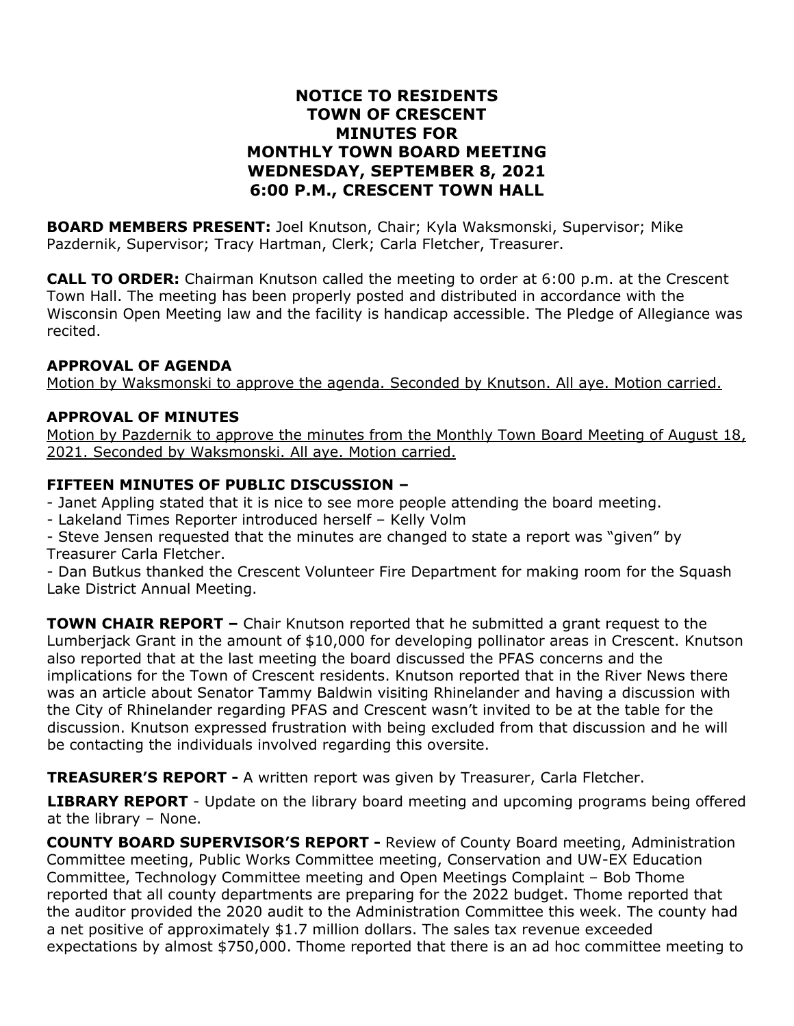## **NOTICE TO RESIDENTS TOWN OF CRESCENT MINUTES FOR MONTHLY TOWN BOARD MEETING WEDNESDAY, SEPTEMBER 8, 2021 6:00 P.M., CRESCENT TOWN HALL**

**BOARD MEMBERS PRESENT:** Joel Knutson, Chair; Kyla Waksmonski, Supervisor; Mike Pazdernik, Supervisor; Tracy Hartman, Clerk; Carla Fletcher, Treasurer.

**CALL TO ORDER:** Chairman Knutson called the meeting to order at 6:00 p.m. at the Crescent Town Hall. The meeting has been properly posted and distributed in accordance with the Wisconsin Open Meeting law and the facility is handicap accessible. The Pledge of Allegiance was recited.

#### **APPROVAL OF AGENDA**

Motion by Waksmonski to approve the agenda. Seconded by Knutson. All aye. Motion carried.

## **APPROVAL OF MINUTES**

Motion by Pazdernik to approve the minutes from the Monthly Town Board Meeting of August 18, 2021. Seconded by Waksmonski. All aye. Motion carried.

### **FIFTEEN MINUTES OF PUBLIC DISCUSSION –**

- Janet Appling stated that it is nice to see more people attending the board meeting.

- Lakeland Times Reporter introduced herself – Kelly Volm

- Steve Jensen requested that the minutes are changed to state a report was "given" by Treasurer Carla Fletcher.

- Dan Butkus thanked the Crescent Volunteer Fire Department for making room for the Squash Lake District Annual Meeting.

**TOWN CHAIR REPORT –** Chair Knutson reported that he submitted a grant request to the Lumberjack Grant in the amount of \$10,000 for developing pollinator areas in Crescent. Knutson also reported that at the last meeting the board discussed the PFAS concerns and the implications for the Town of Crescent residents. Knutson reported that in the River News there was an article about Senator Tammy Baldwin visiting Rhinelander and having a discussion with the City of Rhinelander regarding PFAS and Crescent wasn't invited to be at the table for the discussion. Knutson expressed frustration with being excluded from that discussion and he will be contacting the individuals involved regarding this oversite.

**TREASURER'S REPORT -** A written report was given by Treasurer, Carla Fletcher.

**LIBRARY REPORT** - Update on the library board meeting and upcoming programs being offered at the library – None.

**COUNTY BOARD SUPERVISOR'S REPORT -** Review of County Board meeting, Administration Committee meeting, Public Works Committee meeting, Conservation and UW-EX Education Committee, Technology Committee meeting and Open Meetings Complaint – Bob Thome reported that all county departments are preparing for the 2022 budget. Thome reported that the auditor provided the 2020 audit to the Administration Committee this week. The county had a net positive of approximately \$1.7 million dollars. The sales tax revenue exceeded expectations by almost \$750,000. Thome reported that there is an ad hoc committee meeting to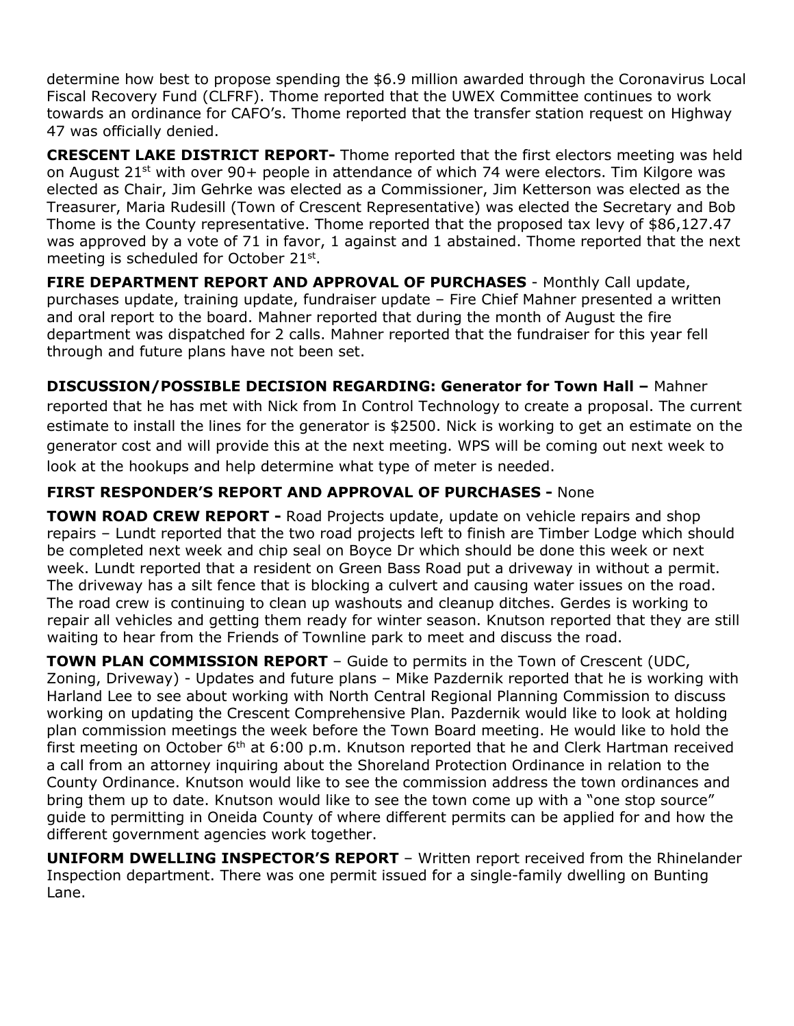determine how best to propose spending the \$6.9 million awarded through the Coronavirus Local Fiscal Recovery Fund (CLFRF). Thome reported that the UWEX Committee continues to work towards an ordinance for CAFO's. Thome reported that the transfer station request on Highway 47 was officially denied.

**CRESCENT LAKE DISTRICT REPORT-** Thome reported that the first electors meeting was held on August 21<sup>st</sup> with over 90+ people in attendance of which 74 were electors. Tim Kilgore was elected as Chair, Jim Gehrke was elected as a Commissioner, Jim Ketterson was elected as the Treasurer, Maria Rudesill (Town of Crescent Representative) was elected the Secretary and Bob Thome is the County representative. Thome reported that the proposed tax levy of \$86,127.47 was approved by a vote of 71 in favor, 1 against and 1 abstained. Thome reported that the next meeting is scheduled for October 21st.

**FIRE DEPARTMENT REPORT AND APPROVAL OF PURCHASES** - Monthly Call update, purchases update, training update, fundraiser update – Fire Chief Mahner presented a written and oral report to the board. Mahner reported that during the month of August the fire department was dispatched for 2 calls. Mahner reported that the fundraiser for this year fell through and future plans have not been set.

**DISCUSSION/POSSIBLE DECISION REGARDING: Generator for Town Hall –** Mahner reported that he has met with Nick from In Control Technology to create a proposal. The current estimate to install the lines for the generator is \$2500. Nick is working to get an estimate on the generator cost and will provide this at the next meeting. WPS will be coming out next week to look at the hookups and help determine what type of meter is needed.

# **FIRST RESPONDER'S REPORT AND APPROVAL OF PURCHASES -** None

**TOWN ROAD CREW REPORT -** Road Projects update, update on vehicle repairs and shop repairs – Lundt reported that the two road projects left to finish are Timber Lodge which should be completed next week and chip seal on Boyce Dr which should be done this week or next week. Lundt reported that a resident on Green Bass Road put a driveway in without a permit. The driveway has a silt fence that is blocking a culvert and causing water issues on the road. The road crew is continuing to clean up washouts and cleanup ditches. Gerdes is working to repair all vehicles and getting them ready for winter season. Knutson reported that they are still waiting to hear from the Friends of Townline park to meet and discuss the road.

**TOWN PLAN COMMISSION REPORT** – Guide to permits in the Town of Crescent (UDC, Zoning, Driveway) - Updates and future plans – Mike Pazdernik reported that he is working with Harland Lee to see about working with North Central Regional Planning Commission to discuss working on updating the Crescent Comprehensive Plan. Pazdernik would like to look at holding plan commission meetings the week before the Town Board meeting. He would like to hold the first meeting on October  $6<sup>th</sup>$  at 6:00 p.m. Knutson reported that he and Clerk Hartman received a call from an attorney inquiring about the Shoreland Protection Ordinance in relation to the County Ordinance. Knutson would like to see the commission address the town ordinances and bring them up to date. Knutson would like to see the town come up with a "one stop source" guide to permitting in Oneida County of where different permits can be applied for and how the different government agencies work together.

**UNIFORM DWELLING INSPECTOR'S REPORT** – Written report received from the Rhinelander Inspection department. There was one permit issued for a single-family dwelling on Bunting Lane.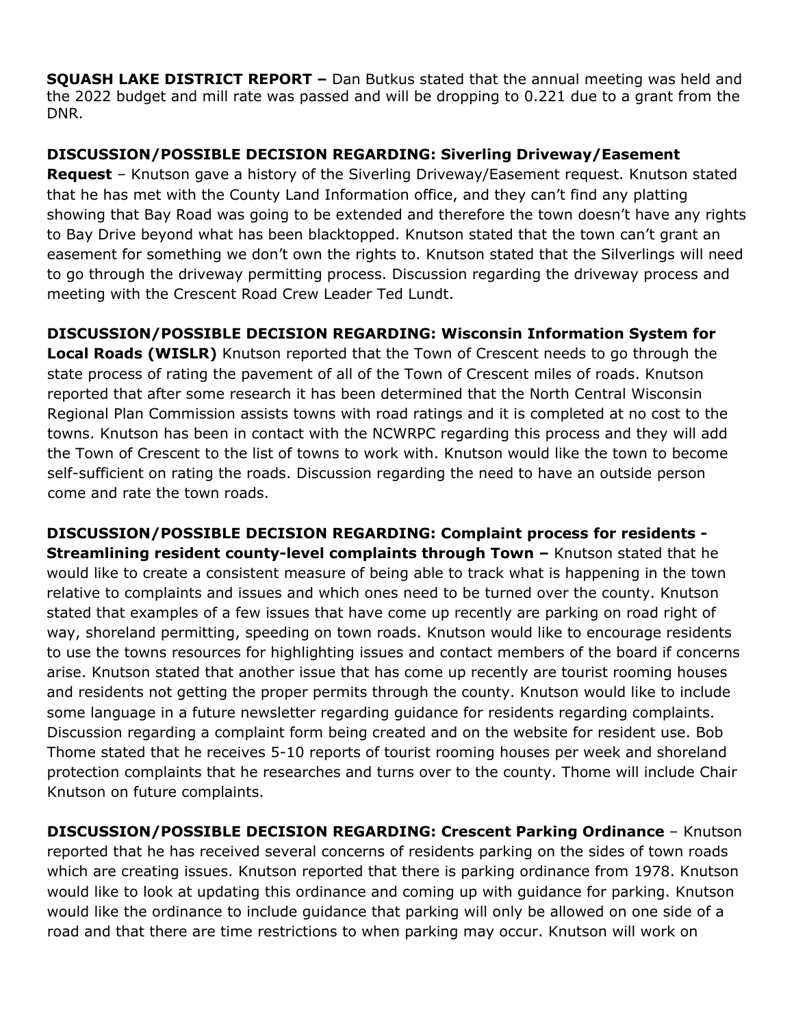**SQUASH LAKE DISTRICT REPORT –** Dan Butkus stated that the annual meeting was held and the 2022 budget and mill rate was passed and will be dropping to 0.221 due to a grant from the DNR.

## **DISCUSSION/POSSIBLE DECISION REGARDING: Siverling Driveway/Easement**

**Request** – Knutson gave a history of the Siverling Driveway/Easement request. Knutson stated that he has met with the County Land Information office, and they can't find any platting showing that Bay Road was going to be extended and therefore the town doesn't have any rights to Bay Drive beyond what has been blacktopped. Knutson stated that the town can't grant an easement for something we don't own the rights to. Knutson stated that the Silverlings will need to go through the driveway permitting process. Discussion regarding the driveway process and meeting with the Crescent Road Crew Leader Ted Lundt.

**DISCUSSION/POSSIBLE DECISION REGARDING: Wisconsin Information System for Local Roads (WISLR)** Knutson reported that the Town of Crescent needs to go through the state process of rating the pavement of all of the Town of Crescent miles of roads. Knutson reported that after some research it has been determined that the North Central Wisconsin Regional Plan Commission assists towns with road ratings and it is completed at no cost to the towns. Knutson has been in contact with the NCWRPC regarding this process and they will add the Town of Crescent to the list of towns to work with. Knutson would like the town to become self-sufficient on rating the roads. Discussion regarding the need to have an outside person come and rate the town roads.

**DISCUSSION/POSSIBLE DECISION REGARDING: Complaint process for residents - Streamlining resident county-level complaints through Town –** Knutson stated that he would like to create a consistent measure of being able to track what is happening in the town relative to complaints and issues and which ones need to be turned over the county. Knutson stated that examples of a few issues that have come up recently are parking on road right of way, shoreland permitting, speeding on town roads. Knutson would like to encourage residents to use the towns resources for highlighting issues and contact members of the board if concerns arise. Knutson stated that another issue that has come up recently are tourist rooming houses and residents not getting the proper permits through the county. Knutson would like to include some language in a future newsletter regarding guidance for residents regarding complaints. Discussion regarding a complaint form being created and on the website for resident use. Bob Thome stated that he receives 5-10 reports of tourist rooming houses per week and shoreland protection complaints that he researches and turns over to the county. Thome will include Chair Knutson on future complaints.

**DISCUSSION/POSSIBLE DECISION REGARDING: Crescent Parking Ordinance** – Knutson reported that he has received several concerns of residents parking on the sides of town roads which are creating issues. Knutson reported that there is parking ordinance from 1978. Knutson would like to look at updating this ordinance and coming up with guidance for parking. Knutson would like the ordinance to include guidance that parking will only be allowed on one side of a road and that there are time restrictions to when parking may occur. Knutson will work on